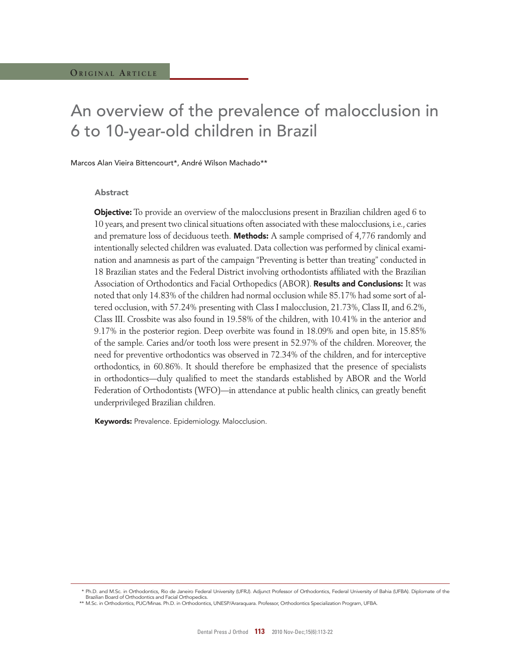# An overview of the prevalence of malocclusion in 6 to 10-year-old children in Brazil

Marcos Alan Vieira Bittencourt\*, André Wilson Machado\*\*

### Abstract

**Objective:** To provide an overview of the malocclusions present in Brazilian children aged 6 to 10 years, and present two clinical situations often associated with these malocclusions, i.e., caries and premature loss of deciduous teeth. **Methods:** A sample comprised of 4,776 randomly and intentionally selected children was evaluated. Data collection was performed by clinical examination and anamnesis as part of the campaign "Preventing is better than treating" conducted in 18 Brazilian states and the Federal District involving orthodontists affiliated with the Brazilian Association of Orthodontics and Facial Orthopedics (ABOR). Results and Conclusions: It was noted that only 14.83% of the children had normal occlusion while 85.17% had some sort of altered occlusion, with 57.24% presenting with Class I malocclusion, 21.73%, Class II, and 6.2%, Class III. Crossbite was also found in 19.58% of the children, with 10.41% in the anterior and 9.17% in the posterior region. Deep overbite was found in 18.09% and open bite, in 15.85% of the sample. Caries and/or tooth loss were present in 52.97% of the children. Moreover, the need for preventive orthodontics was observed in 72.34% of the children, and for interceptive orthodontics, in 60.86%. It should therefore be emphasized that the presence of specialists in orthodontics—duly qualified to meet the standards established by ABOR and the World Federation of Orthodontists (WFO)—in attendance at public health clinics, can greatly benefit underprivileged Brazilian children.

Keywords: Prevalence. Epidemiology. Malocclusion.

 <sup>\*</sup> Ph.D. and M.Sc. in Orthodontics, Rio de Janeiro Federal University (UFRJ). Adjunct Professor of Orthodontics, Federal University of Bahia (UFBA). Diplomate of the

Brazilian Board of Orthodontics and Facial Orthopedics. \*\* M.Sc. in Orthodontics, PUC/Minas. Ph.D. in Orthodontics, UNESP/Araraquara. Professor, Orthodontics Specialization Program, UFBA.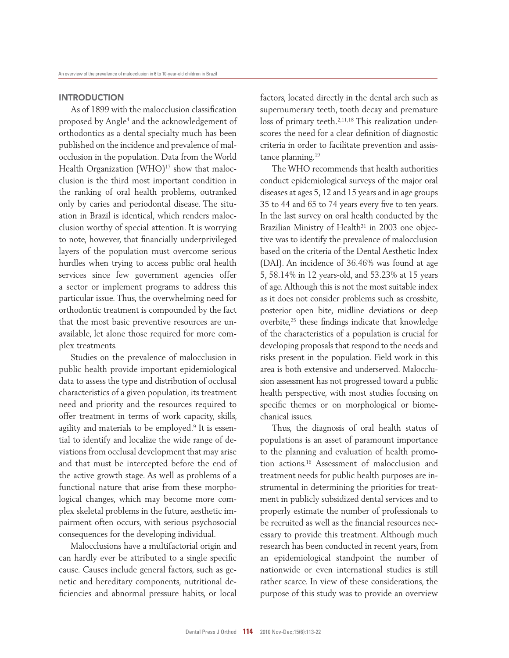# **INTRODUCTION**

As of 1899 with the malocclusion classification proposed by Angle<sup>4</sup> and the acknowledgement of orthodontics as a dental specialty much has been published on the incidence and prevalence of malocclusion in the population. Data from the World Health Organization  $(WHO)^{17}$  show that malocclusion is the third most important condition in the ranking of oral health problems, outranked only by caries and periodontal disease. The situation in Brazil is identical, which renders malocclusion worthy of special attention. It is worrying to note, however, that financially underprivileged layers of the population must overcome serious hurdles when trying to access public oral health services since few government agencies offer a sector or implement programs to address this particular issue. Thus, the overwhelming need for orthodontic treatment is compounded by the fact that the most basic preventive resources are unavailable, let alone those required for more complex treatments.

Studies on the prevalence of malocclusion in public health provide important epidemiological data to assess the type and distribution of occlusal characteristics of a given population, its treatment need and priority and the resources required to offer treatment in terms of work capacity, skills, agility and materials to be employed.<sup>9</sup> It is essential to identify and localize the wide range of deviations from occlusal development that may arise and that must be intercepted before the end of the active growth stage. As well as problems of a functional nature that arise from these morphological changes, which may become more complex skeletal problems in the future, aesthetic impairment often occurs, with serious psychosocial consequences for the developing individual.

Malocclusions have a multifactorial origin and can hardly ever be attributed to a single specific cause. Causes include general factors, such as genetic and hereditary components, nutritional deficiencies and abnormal pressure habits, or local factors, located directly in the dental arch such as supernumerary teeth, tooth decay and premature loss of primary teeth.<sup>2,11,18</sup> This realization underscores the need for a clear definition of diagnostic criteria in order to facilitate prevention and assistance planning.<sup>19</sup>

The WHO recommends that health authorities conduct epidemiological surveys of the major oral diseases at ages 5, 12 and 15 years and in age groups 35 to 44 and 65 to 74 years every five to ten years. In the last survey on oral health conducted by the Brazilian Ministry of Health<sup>31</sup> in 2003 one objective was to identify the prevalence of malocclusion based on the criteria of the Dental Aesthetic Index (DAI). An incidence of 36.46% was found at age 5, 58.14% in 12 years-old, and 53.23% at 15 years of age. Although this is not the most suitable index as it does not consider problems such as crossbite, posterior open bite, midline deviations or deep overbite,<sup>25</sup> these findings indicate that knowledge of the characteristics of a population is crucial for developing proposals that respond to the needs and risks present in the population. Field work in this area is both extensive and underserved. Malocclusion assessment has not progressed toward a public health perspective, with most studies focusing on specific themes or on morphological or biomechanical issues.

Thus, the diagnosis of oral health status of populations is an asset of paramount importance to the planning and evaluation of health promotion actions.<sup>16</sup> Assessment of malocclusion and treatment needs for public health purposes are instrumental in determining the priorities for treatment in publicly subsidized dental services and to properly estimate the number of professionals to be recruited as well as the financial resources necessary to provide this treatment. Although much research has been conducted in recent years, from an epidemiological standpoint the number of nationwide or even international studies is still rather scarce. In view of these considerations, the purpose of this study was to provide an overview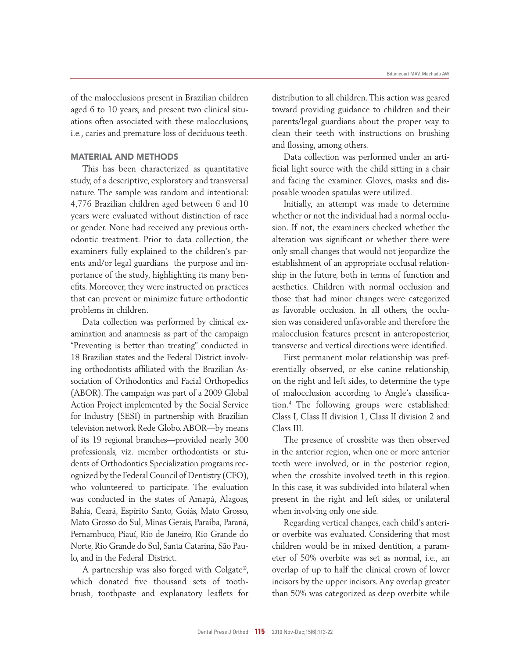of the malocclusions present in Brazilian children aged 6 to 10 years, and present two clinical situations often associated with these malocclusions, i.e., caries and premature loss of deciduous teeth.

# MAtERIAL AnD MEtHODS

This has been characterized as quantitative study, of a descriptive, exploratory and transversal nature. The sample was random and intentional: 4,776 Brazilian children aged between 6 and 10 years were evaluated without distinction of race or gender. None had received any previous orthodontic treatment. Prior to data collection, the examiners fully explained to the children's parents and/or legal guardians the purpose and importance of the study, highlighting its many benefits. Moreover, they were instructed on practices that can prevent or minimize future orthodontic problems in children.

Data collection was performed by clinical examination and anamnesis as part of the campaign "Preventing is better than treating" conducted in 18 Brazilian states and the Federal District involving orthodontists affiliated with the Brazilian Association of Orthodontics and Facial Orthopedics (ABOR). The campaign was part of a 2009 Global Action Project implemented by the Social Service for Industry (SESI) in partnership with Brazilian television network Rede Globo. ABOR—by means of its 19 regional branches—provided nearly 300 professionals, viz. member orthodontists or students of Orthodontics Specialization programs recognized by the Federal Council of Dentistry (CFO), who volunteered to participate. The evaluation was conducted in the states of Amapá, Alagoas, Bahia, Ceará, Espírito Santo, Goiás, Mato Grosso, Mato Grosso do Sul, Minas Gerais, Paraíba, Paraná, Pernambuco, Piauí, Rio de Janeiro, Rio Grande do Norte, Rio Grande do Sul, Santa Catarina, São Paulo, and in the Federal District.

A partnership was also forged with Colgate®, which donated five thousand sets of toothbrush, toothpaste and explanatory leaflets for

distribution to all children. This action was geared toward providing guidance to children and their parents/legal guardians about the proper way to clean their teeth with instructions on brushing and flossing, among others.

Data collection was performed under an artificial light source with the child sitting in a chair and facing the examiner. Gloves, masks and disposable wooden spatulas were utilized.

Initially, an attempt was made to determine whether or not the individual had a normal occlusion. If not, the examiners checked whether the alteration was significant or whether there were only small changes that would not jeopardize the establishment of an appropriate occlusal relationship in the future, both in terms of function and aesthetics. Children with normal occlusion and those that had minor changes were categorized as favorable occlusion. In all others, the occlusion was considered unfavorable and therefore the malocclusion features present in anteroposterior, transverse and vertical directions were identified.

First permanent molar relationship was preferentially observed, or else canine relationship, on the right and left sides, to determine the type of malocclusion according to Angle's classification.<sup>4</sup> The following groups were established: Class I, Class II division 1, Class II division 2 and Class III.

The presence of crossbite was then observed in the anterior region, when one or more anterior teeth were involved, or in the posterior region, when the crossbite involved teeth in this region. In this case, it was subdivided into bilateral when present in the right and left sides, or unilateral when involving only one side.

Regarding vertical changes, each child's anterior overbite was evaluated. Considering that most children would be in mixed dentition, a parameter of 50% overbite was set as normal, i.e., an overlap of up to half the clinical crown of lower incisors by the upper incisors. Any overlap greater than 50% was categorized as deep overbite while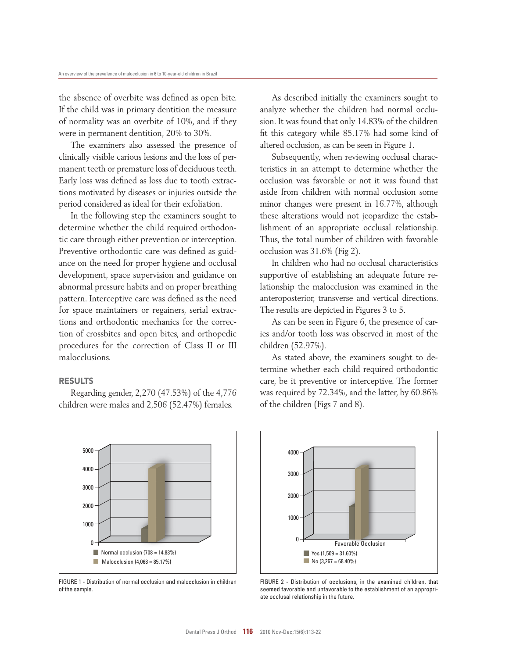the absence of overbite was defined as open bite. If the child was in primary dentition the measure of normality was an overbite of 10%, and if they were in permanent dentition, 20% to 30%.

The examiners also assessed the presence of clinically visible carious lesions and the loss of permanent teeth or premature loss of deciduous teeth. Early loss was defined as loss due to tooth extractions motivated by diseases or injuries outside the period considered as ideal for their exfoliation.

In the following step the examiners sought to determine whether the child required orthodontic care through either prevention or interception. Preventive orthodontic care was defined as guidance on the need for proper hygiene and occlusal development, space supervision and guidance on abnormal pressure habits and on proper breathing pattern. Interceptive care was defined as the need for space maintainers or regainers, serial extractions and orthodontic mechanics for the correction of crossbites and open bites, and orthopedic procedures for the correction of Class II or III malocclusions.

# RESULTS

Regarding gender, 2,270 (47.53%) of the 4,776 children were males and 2,506 (52.47%) females.



FIGURE 1 - Distribution of normal occlusion and malocclusion in children of the sample.

As described initially the examiners sought to analyze whether the children had normal occlusion. It was found that only 14.83% of the children fit this category while 85.17% had some kind of altered occlusion, as can be seen in Figure 1.

Subsequently, when reviewing occlusal characteristics in an attempt to determine whether the occlusion was favorable or not it was found that aside from children with normal occlusion some minor changes were present in 16.77%, although these alterations would not jeopardize the establishment of an appropriate occlusal relationship. Thus, the total number of children with favorable occlusion was 31.6% (Fig 2).

In children who had no occlusal characteristics supportive of establishing an adequate future relationship the malocclusion was examined in the anteroposterior, transverse and vertical directions. The results are depicted in Figures 3 to 5.

As can be seen in Figure 6, the presence of caries and/or tooth loss was observed in most of the children (52.97%).

As stated above, the examiners sought to determine whether each child required orthodontic care, be it preventive or interceptive. The former was required by 72.34%, and the latter, by 60.86% of the children (Figs 7 and 8).



FIGURE 2 - Distribution of occlusions, in the examined children, that seemed favorable and unfavorable to the establishment of an appropriate occlusal relationship in the future.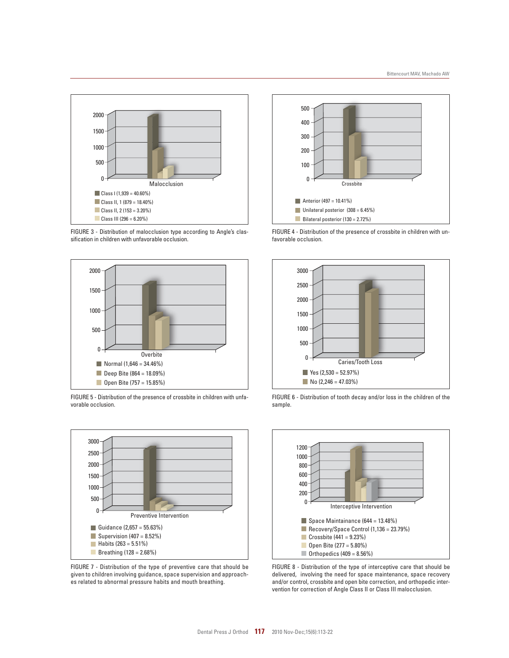

FIGURE 3 - Distribution of malocclusion type according to Angle's classification in children with unfavorable occlusion.



FIGURE 5 - Distribution of the presence of crossbite in children with unfavorable occlusion.



FIGURE 7 - Distribution of the type of preventive care that should be given to children involving guidance, space supervision and approaches related to abnormal pressure habits and mouth breathing.



FIGURE 4 - Distribution of the presence of crossbite in children with unfavorable occlusion.



FIGURE 6 - Distribution of tooth decay and/or loss in the children of the sample.



FIGURE 8 - Distribution of the type of interceptive care that should be delivered, involving the need for space maintenance, space recovery and/or control, crossbite and open bite correction, and orthopedic intervention for correction of Angle Class II or Class III malocclusion.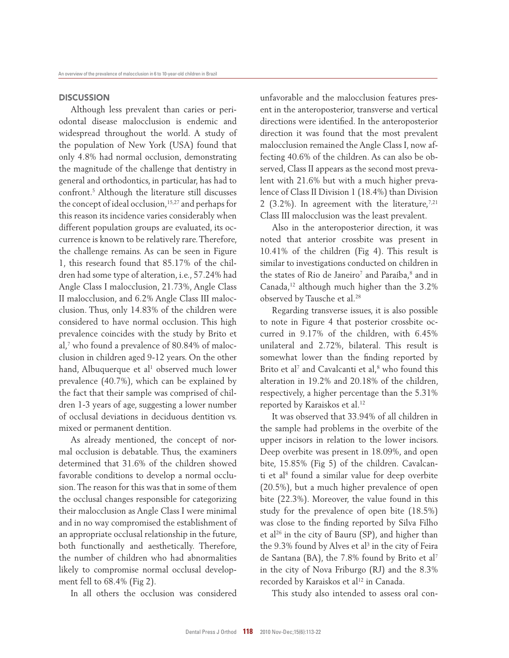## **DISCUSSION**

Although less prevalent than caries or periodontal disease malocclusion is endemic and widespread throughout the world. A study of the population of New York (USA) found that only 4.8% had normal occlusion, demonstrating the magnitude of the challenge that dentistry in general and orthodontics, in particular, has had to confront.<sup>5</sup> Although the literature still discusses the concept of ideal occlusion, <sup>15,27</sup> and perhaps for this reason its incidence varies considerably when different population groups are evaluated, its occurrence is known to be relatively rare. Therefore, the challenge remains. As can be seen in Figure 1, this research found that 85.17% of the children had some type of alteration, i.e., 57.24% had Angle Class I malocclusion, 21.73%, Angle Class II malocclusion, and 6.2% Angle Class III malocclusion. Thus, only 14.83% of the children were considered to have normal occlusion. This high prevalence coincides with the study by Brito et al,<sup>7</sup> who found a prevalence of 80.84% of malocclusion in children aged 9-12 years. On the other hand, Albuquerque et al<sup>1</sup> observed much lower prevalence (40.7%), which can be explained by the fact that their sample was comprised of children 1-3 years of age, suggesting a lower number of occlusal deviations in deciduous dentition vs. mixed or permanent dentition.

As already mentioned, the concept of normal occlusion is debatable. Thus, the examiners determined that 31.6% of the children showed favorable conditions to develop a normal occlusion. The reason for this was that in some of them the occlusal changes responsible for categorizing their malocclusion as Angle Class I were minimal and in no way compromised the establishment of an appropriate occlusal relationship in the future, both functionally and aesthetically. Therefore, the number of children who had abnormalities likely to compromise normal occlusal development fell to 68.4% (Fig 2).

In all others the occlusion was considered

unfavorable and the malocclusion features present in the anteroposterior, transverse and vertical directions were identified. In the anteroposterior direction it was found that the most prevalent malocclusion remained the Angle Class I, now affecting 40.6% of the children. As can also be observed, Class II appears as the second most prevalent with 21.6% but with a much higher prevalence of Class II Division 1 (18.4%) than Division 2 (3.2%). In agreement with the literature,  $7,21$ Class III malocclusion was the least prevalent.

Also in the anteroposterior direction, it was noted that anterior crossbite was present in 10.41% of the children (Fig 4). This result is similar to investigations conducted on children in the states of Rio de Janeiro<sup>7</sup> and Paraíba,<sup>8</sup> and in Canada,<sup>12</sup> although much higher than the 3.2% observed by Tausche et al.<sup>28</sup>

Regarding transverse issues, it is also possible to note in Figure 4 that posterior crossbite occurred in 9.17% of the children, with 6.45% unilateral and 2.72%, bilateral. This result is somewhat lower than the finding reported by Brito et al<sup>7</sup> and Cavalcanti et al, $^8$  who found this alteration in 19.2% and 20.18% of the children, respectively, a higher percentage than the 5.31% reported by Karaiskos et al.<sup>12</sup>

It was observed that 33.94% of all children in the sample had problems in the overbite of the upper incisors in relation to the lower incisors. Deep overbite was present in 18.09%, and open bite, 15.85% (Fig 5) of the children. Cavalcanti et al<sup>8</sup> found a similar value for deep overbite (20.5%), but a much higher prevalence of open bite (22.3%). Moreover, the value found in this study for the prevalence of open bite (18.5%) was close to the finding reported by Silva Filho et al<sup>26</sup> in the city of Bauru (SP), and higher than the  $9.3\%$  found by Alves et al $^3$  in the city of Feira de Santana (BA), the 7.8% found by Brito et al<sup>7</sup> in the city of Nova Friburgo (RJ) and the 8.3% recorded by Karaiskos et al<sup>12</sup> in Canada.

This study also intended to assess oral con-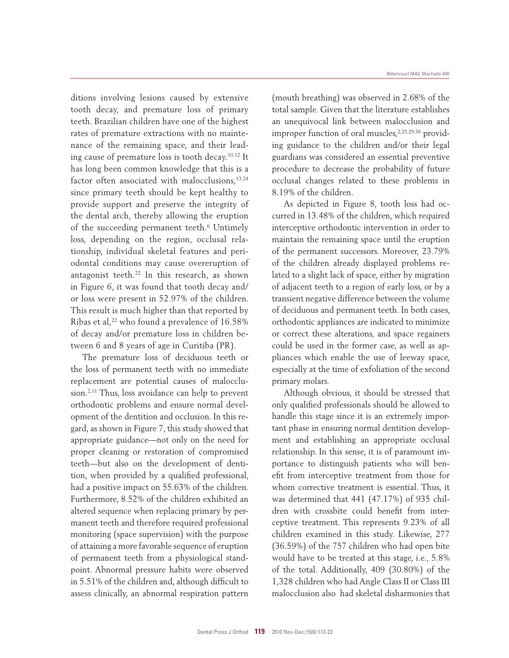ditions involving lesions caused by extensive tooth decay, and premature loss of primary teeth. Brazilian children have one of the highest rates of premature extractions with no maintenance of the remaining space, and their leading cause of premature loss is tooth decay.10,12 It has long been common knowledge that this is a factor often associated with malocclusions,<sup>13,24</sup> since primary teeth should be kept healthy to provide support and preserve the integrity of the dental arch, thereby allowing the eruption of the succeeding permanent teeth.<sup>6</sup> Untimely loss, depending on the region, occlusal relationship, individual skeletal features and periodontal conditions may cause overeruption of antagonist teeth.<sup>22</sup> In this research, as shown in Figure 6, it was found that tooth decay and/ or loss were present in 52.97% of the children. This result is much higher than that reported by Ribas et al,<sup>22</sup> who found a prevalence of 16.58% of decay and/or premature loss in children between 6 and 8 years of age in Curitiba (PR).

The premature loss of deciduous teeth or the loss of permanent teeth with no immediate replacement are potential causes of malocclusion.2,11 Thus, loss avoidance can help to prevent orthodontic problems and ensure normal development of the dentition and occlusion. In this regard, as shown in Figure 7, this study showed that appropriate guidance—not only on the need for proper cleaning or restoration of compromised teeth—but also on the development of dentition, when provided by a qualified professional, had a positive impact on 55.63% of the children. Furthermore, 8.52% of the children exhibited an altered sequence when replacing primary by permanent teeth and therefore required professional monitoring (space supervision) with the purpose of attaining a more favorable sequence of eruption of permanent teeth from a physiological standpoint. Abnormal pressure habits were observed in 5.51% of the children and, although difficult to assess clinically, an abnormal respiration pattern

(mouth breathing) was observed in 2.68% of the total sample. Given that the literature establishes an unequivocal link between malocclusion and improper function of oral muscles,<sup>2,23,29,30</sup> providing guidance to the children and/or their legal guardians was considered an essential preventive procedure to decrease the probability of future occlusal changes related to these problems in 8.19% of the children.

As depicted in Figure 8, tooth loss had occurred in 13.48% of the children, which required interceptive orthodontic intervention in order to maintain the remaining space until the eruption of the permanent successors. Moreover, 23.79% of the children already displayed problems related to a slight lack of space, either by migration of adjacent teeth to a region of early loss, or by a transient negative difference between the volume of deciduous and permanent teeth. In both cases, orthodontic appliances are indicated to minimize or correct these alterations, and space regainers could be used in the former case, as well as appliances which enable the use of leeway space, especially at the time of exfoliation of the second primary molars.

Although obvious, it should be stressed that only qualified professionals should be allowed to handle this stage since it is an extremely important phase in ensuring normal dentition development and establishing an appropriate occlusal relationship. In this sense, it is of paramount importance to distinguish patients who will benefit from interceptive treatment from those for whom corrective treatment is essential. Thus, it was determined that 441 (47.17%) of 935 children with crossbite could benefit from interceptive treatment. This represents 9.23% of all children examined in this study. Likewise, 277 (36.59%) of the 757 children who had open bite would have to be treated at this stage, i.e., 5.8% of the total. Additionally, 409 (30.80%) of the 1,328 children who had Angle Class II or Class III malocclusion also had skeletal disharmonies that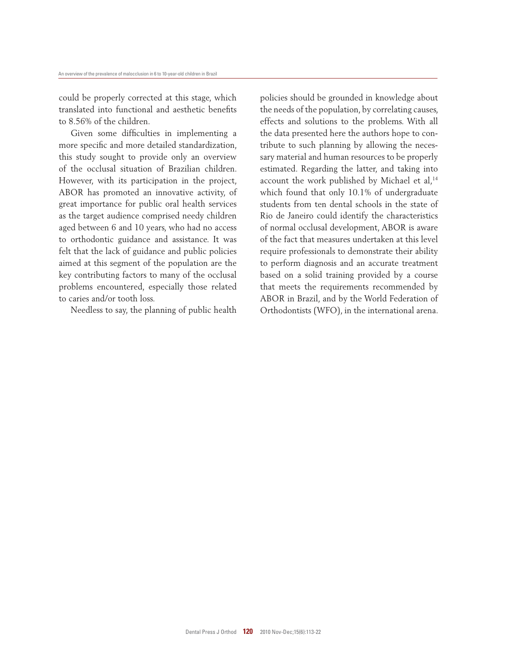could be properly corrected at this stage, which translated into functional and aesthetic benefits to 8.56% of the children.

Given some difficulties in implementing a more specific and more detailed standardization, this study sought to provide only an overview of the occlusal situation of Brazilian children. However, with its participation in the project, ABOR has promoted an innovative activity, of great importance for public oral health services as the target audience comprised needy children aged between 6 and 10 years, who had no access to orthodontic guidance and assistance. It was felt that the lack of guidance and public policies aimed at this segment of the population are the key contributing factors to many of the occlusal problems encountered, especially those related to caries and/or tooth loss.

Needless to say, the planning of public health

policies should be grounded in knowledge about the needs of the population, by correlating causes, effects and solutions to the problems. With all the data presented here the authors hope to contribute to such planning by allowing the necessary material and human resources to be properly estimated. Regarding the latter, and taking into account the work published by Michael et al,<sup>14</sup> which found that only 10.1% of undergraduate students from ten dental schools in the state of Rio de Janeiro could identify the characteristics of normal occlusal development, ABOR is aware of the fact that measures undertaken at this level require professionals to demonstrate their ability to perform diagnosis and an accurate treatment based on a solid training provided by a course that meets the requirements recommended by ABOR in Brazil, and by the World Federation of Orthodontists (WFO), in the international arena.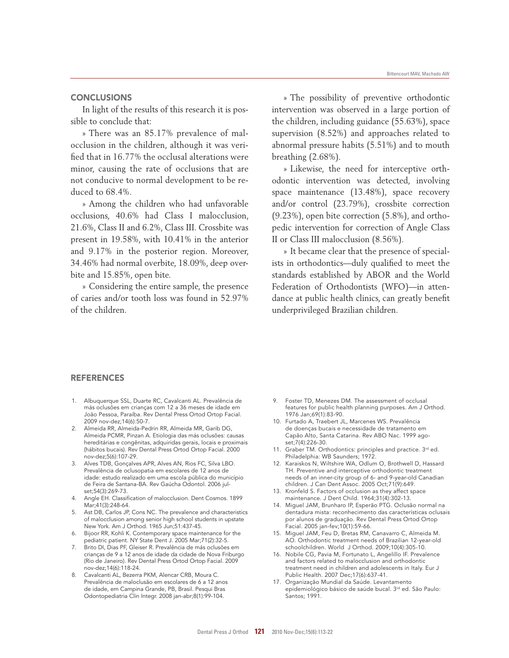## **CONCLUSIONS**

In light of the results of this research it is possible to conclude that:

» There was an 85.17% prevalence of malocclusion in the children, although it was verified that in 16.77% the occlusal alterations were minor, causing the rate of occlusions that are not conducive to normal development to be reduced to 68.4%.

» Among the children who had unfavorable occlusions, 40.6% had Class I malocclusion, 21.6%, Class II and 6.2%, Class III. Crossbite was present in 19.58%, with 10.41% in the anterior and 9.17% in the posterior region. Moreover, 34.46% had normal overbite, 18.09%, deep overbite and 15.85%, open bite.

» Considering the entire sample, the presence of caries and/or tooth loss was found in 52.97% of the children.

» The possibility of preventive orthodontic intervention was observed in a large portion of the children, including guidance (55.63%), space supervision (8.52%) and approaches related to abnormal pressure habits (5.51%) and to mouth breathing (2.68%).

» Likewise, the need for interceptive orthodontic intervention was detected, involving space maintenance (13.48%), space recovery and/or control (23.79%), crossbite correction (9.23%), open bite correction (5.8%), and orthopedic intervention for correction of Angle Class II or Class III malocclusion (8.56%).

» It became clear that the presence of specialists in orthodontics—duly qualified to meet the standards established by ABOR and the World Federation of Orthodontists (WFO)—in attendance at public health clinics, can greatly benefit underprivileged Brazilian children.

### **REFERENCES**

- 1. Albuquerque SSL, Duarte RC, Cavalcanti AL. Prevalência de más oclusões em crianças com 12 a 36 meses de idade em João Pessoa, Paraíba. Rev Dental Press Ortod Ortop Facial. 2009 nov-dez;14(6):50-7.
- 2. Almeida RR, Almeida-Pedrin RR, Almeida MR, Garib DG, Almeida PCMR, Pinzan A. Etiologia das más oclusões: causas hereditárias e congênitas, adquiridas gerais, locais e proximais (hábitos bucais). Rev Dental Press Ortod Ortop Facial. 2000 nov-dez;5(6):107-29.
- 3. Alves TDB, Gonçalves APR, Alves AN, Rios FC, Silva LBO. Prevalência de oclusopatia em escolares de 12 anos de idade: estudo realizado em uma escola pública do município de Feira de Santana-BA. Rev Gaúcha Odontol. 2006 julset;54(3):269-73.
- 4. Angle EH. Classification of malocclusion. Dent Cosmos. 1899 Mar;41(3):248-64.
- 5. Ast DB, Carlos JP, Cons NC. The prevalence and characteristics of malocclusion among senior high school students in upstate New York. Am J Orthod. 1965 Jun;51:437-45.
- 6. Bijoor RR, Kohli K. Contemporary space maintenance for the pediatric patient. NY State Dent J. 2005 Mar;71(2):32-5.
- 7. Brito DI, Dias PF, Gleiser R. Prevalência de más oclusões em crianças de 9 a 12 anos de idade da cidade de Nova Friburgo (Rio de Janeiro). Rev Dental Press Ortod Ortop Facial. 2009 nov-dez;14(6):118-24.
- Cavalcanti AL, Bezerra PKM, Alencar CRB, Moura C. Prevalência de maloclusão em escolares de 6 a 12 anos de idade, em Campina Grande, PB, Brasil. Pesqui Bras Odontopediatria Clín Integr. 2008 jan-abr;8(1):99-104.
- 9. Foster TD, Menezes DM. The assessment of occlusal features for public health planning purposes. Am J Orthod. 1976 Jan;69(1):83-90.
- 10. Furtado A, Traebert JL, Marcenes WS. Prevalência de doenças bucais e necessidade de tratamento em Capão Alto, Santa Catarina. Rev ABO Nac. 1999 agoset;7(4):226-30.
- 11. Graber TM. Orthodontics: principles and practice. 3rd ed. Philadelphia: WB Saunders; 1972.
- 12. Karaiskos N, Wiltshire WA, Odlum O, Brothwell D, Hassard TH. Preventive and interceptive orthodontic treatment needs of an inner-city group of 6- and 9-year-old Canadian children. J Can Dent Assoc. 2005 Oct;71(9):649.
- 13. Kronfeld S. Factors of occlusion as they affect space maintenance. J Dent Child. 1964;31(4):302-13.
- 14. Miguel JAM, Brunharo IP, Esperão PTG. Oclusão normal na dentadura mista: reconhecimento das características oclusais por alunos de graduação. Rev Dental Press Ortod Ortop Facial. 2005 jan-fev;10(1):59-66.
- 15. Miguel JAM, Feu D, Bretas RM, Canavarro C, Almeida M. AO. Orthodontic treatment needs of Brazilian 12-year-old schoolchildren. World J Orthod. 2009;10(4):305-10.
- 16. Nobile CG, Pavia M, Fortunato L, Angelillo IF. Prevalence and factors related to malocclusion and orthodontic treatment need in children and adolescents in Italy. Eur J Public Health. 2007 Dec;17(6):637-41.
- 17. Organização Mundial da Saúde. Levantamento epidemiológico básico de saúde bucal. 3rd ed. São Paulo: Santos; 1991.